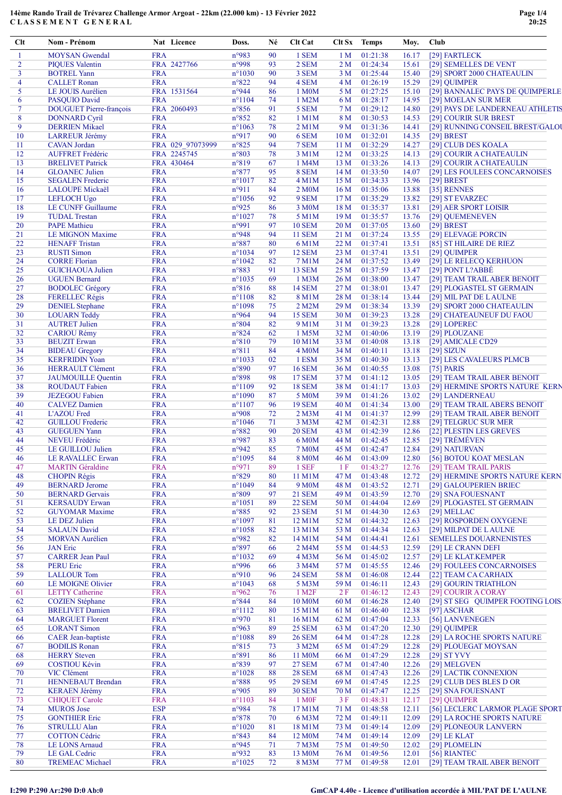## 14ème Rando Trail de Trévarez Challenge Armor Argoat - 22km (22.000 km) - 13 Février 2022 C L A S S E M E N T G E N E R A L

| Clt    | Nom - Prénom                   |                          | Nat Licence      | Doss.                             | Né | <b>Clt Cat</b>       |                 | Clt Sx Temps             | Moy.           | Club                              |
|--------|--------------------------------|--------------------------|------------------|-----------------------------------|----|----------------------|-----------------|--------------------------|----------------|-----------------------------------|
|        | <b>MOYSAN</b> Gwendal          | <b>FRA</b>               |                  | n°983                             | 90 | 1 SEM                | 1 M             | 01:21:38                 | 16.17          | [29] FARTLECK                     |
| 2      | <b>PIQUES Valentin</b>         |                          | FRA 2427766      | n°998                             | 93 | 2 SEM                |                 | 2 M 01:24:34             | 15.61          | [29] SEMELLES DE VENT             |
| 3      | <b>BOTREL Yann</b>             | <b>FRA</b>               |                  | $n^{\circ}1030$                   | 90 | 3 SEM                | 3 M             | 01:25:44                 | 15.40          | [29] SPORT 2000 CHATEAULIN        |
| 4      | <b>CALLET Ronan</b>            | <b>FRA</b>               |                  | $n^{\circ}822$                    | 94 | 4 SEM                | 4 M             | 01:26:19                 | 15.29          | [29] QUIMPER                      |
| 5      | LE JOUIS Aurélien              |                          | FRA 1531564      | n°944                             | 86 | 1 M <sub>0</sub> M   | 5 M             | 01:27:25                 | 15.10          | [29] BANNALEC PAYS DE OUIMPERLE   |
| 6      | PASQUIO David                  | <b>FRA</b>               |                  | $n^{\circ}1104$                   | 74 | 1 M2M                | 6 M             | 01:28:17                 | 14.95          | [29] MOELAN SUR MER               |
| 7      |                                |                          |                  |                                   |    |                      |                 |                          |                |                                   |
|        | <b>DOUGUET Pierre-françois</b> |                          | FRA 2060493      | $n^{\circ}856$                    | 91 | 5 SEM                |                 | 7 M 01:29:12             | 14.80          | [29] PAYS DE LANDERNEAU ATHLETIS  |
| 8<br>9 | <b>DONNARD Cyril</b>           | <b>FRA</b><br><b>FRA</b> |                  | $n^{\circ}852$<br>$n^{\circ}1063$ | 82 | 1 M1M<br>$2$ M $1$ M |                 | 8 M 01:30:53<br>01:31:36 | 14.53<br>14.41 | [29] COURIR SUR BREST             |
|        | <b>DERRIEN Mikael</b>          |                          |                  |                                   | 78 |                      | 9 M             |                          |                | [29] RUNNING CONSEIL BREST/GALOI  |
| 10     | <b>LARREUR Jérémy</b>          | <b>FRA</b>               |                  | n°917                             | 90 | 6 SEM                | 10 M            | 01:32:01                 | 14.35          | $[29]$ BREST                      |
| 11     | <b>CAVAN</b> Jordan            |                          | FRA 029 97073999 | $n^{\circ}825$                    | 94 | 7 SEM                | 11 <sub>M</sub> | 01:32:29                 | 14.27          | [29] CLUB DES KOALA               |
| 12     | AUFFRET Frédéric               |                          | FRA 2245745      | $n^{\circ}803$                    | 78 | 3 M1M                | 12M             | 01:33:25                 | 14.13          | [29] COURIR A CHATEAULIN          |
| 13     | <b>BRELIVET Patrick</b>        |                          | FRA 430464       | $n^{\circ}819$                    | 67 | 1 M4M                | 13 M            | 01:33:26                 | 14.13          | [29] COURIR A CHATEAULIN          |
| 14     | <b>GLOANEC</b> Julien          | <b>FRA</b>               |                  | $n^{\circ}877$                    | 95 | 8 SEM                |                 | 14 M 01:33:50            | 14.07          | [29] LES FOULEES CONCARNOISES     |
| 15     | <b>SEGALEN</b> Frederic        | <b>FRA</b>               |                  | $n^{\circ}1017$                   | 82 | $4$ M $1$ M          | 15 M            | 01:34:33                 | 13.96          | $[29]$ BREST                      |
| 16     | LALOUPE Mickaël                | <b>FRA</b>               |                  | $n^{\circ}911$                    | 84 | 2 M <sub>0</sub> M   | 16 M            | 01:35:06                 | 13.88          | [35] RENNES                       |
| 17     | <b>LEFLOCH Ugo</b>             | <b>FRA</b>               |                  | $n^{\circ}1056$                   | 92 | 9 SEM                | 17 M            | 01:35:29                 | 13.82          | [29] ST EVARZEC                   |
| 18     | LE CUNFF Guillaume             | <b>FRA</b>               |                  | n°925                             | 86 | 3 M <sub>0</sub> M   | 18 M            | 01:35:37                 | 13.81          | [29] AER SPORT LOISIR             |
| 19     | <b>TUDAL</b> Trestan           | <b>FRA</b>               |                  | $n^{\circ}1027$                   | 78 | 5 M1M                | 19 M            | 01:35:57                 | 13.76          | [29] QUEMENEVEN                   |
| 20     | <b>PAPE Mathieu</b>            | <b>FRA</b>               |                  | n°991                             | 97 | <b>10 SEM</b>        |                 | 20 M 01:37:05            | 13.60          | $[29]$ BREST                      |
| 21     | <b>LE MIGNON Maxime</b>        | <b>FRA</b>               |                  | n°948                             | 94 | <b>11 SEM</b>        |                 | 21 M 01:37:24            | 13.55          | [29] ELEVAGE PORCIN               |
| 22     | <b>HENAFF</b> Tristan          | <b>FRA</b>               |                  | $n^{\circ}887$                    | 80 | 6 M1M                | 22 M            | 01:37:41                 |                |                                   |
|        |                                |                          |                  |                                   |    |                      |                 |                          | 13.51          | [85] ST HILAIRE DE RIEZ           |
| 23     | <b>RUSTI</b> Simon             | <b>FRA</b>               |                  | $n^{\circ}1034$                   | 97 | <b>12 SEM</b>        | 23 M            | 01:37:41                 | 13.51          | [29] QUIMPER                      |
| 24     | <b>CORRE Florian</b>           | <b>FRA</b>               |                  | $n^{\circ}1042$                   | 82 | 7 M1M                |                 | 24 M 01:37:52            | 13.49          | [29] LE RELECQ KERHUON            |
| 25     | <b>GUICHAOUA Julien</b>        | <b>FRA</b>               |                  | $n^{\circ}883$                    | 91 | <b>13 SEM</b>        |                 | 25 M 01:37:59            | 13.47          | [29] PONT L?ABBÉ                  |
| 26     | <b>UGUEN Bernard</b>           | <b>FRA</b>               |                  | $n^{\circ}1035$                   | 69 | 1 M3M                |                 | 26 M 01:38:00            | 13.47          | [29] TEAM TRAIL ABER BENOIT       |
| 27     | <b>BODOLEC Grégory</b>         | <b>FRA</b>               |                  | $n^{\circ}816$                    | 88 | <b>14 SEM</b>        |                 | 27 M 01:38:01            | 13.47          | [29] PLOGASTEL ST GERMAIN         |
| 28     | <b>FERELLEC Régis</b>          | <b>FRA</b>               |                  | $n^{\circ}1108$                   | 82 | 8 M1M                | 28 M            | 01:38:14                 | 13.44          | [29] MIL PAT DE LAULNE            |
| 29     | <b>DENIEL Stephane</b>         | <b>FRA</b>               |                  | $n^{\circ}1098$                   | 75 | 2 M2M                | 29 M            | 01:38:34                 | 13.39          | [29] SPORT 2000 CHATEAULIN        |
| 30     | <b>LOUARN</b> Teddy            | <b>FRA</b>               |                  | $n^{\circ}964$                    | 94 | <b>15 SEM</b>        | 30 M            | 01:39:23                 | 13.28          | [29] CHATEAUNEUF DU FAOU          |
| 31     | <b>AUTRET Julien</b>           | <b>FRA</b>               |                  | $n^{\circ}804$                    | 82 | 9 M1M                | 31 M            | 01:39:23                 | 13.28          | [29] LOPEREC                      |
| 32     | <b>CARIOU Rémy</b>             | <b>FRA</b>               |                  | $n^{\circ}824$                    | 62 | 1 M5M                | 32 M            | 01:40:06                 | 13.19          | [29] PLOUZANE                     |
| 33     | <b>BEUZIT</b> Erwan            | <b>FRA</b>               |                  | $n^{\circ}810$                    | 79 | 10 M1M               |                 | 33 M 01:40:08            | 13.18          | [29] AMICALE CD29                 |
| 34     | <b>BIDEAU</b> Gregory          | <b>FRA</b>               |                  | $n^{\circ}811$                    | 84 | 4 M <sub>0</sub> M   | 34 M            | 01:40:11                 | 13.18          | $[29]$ SIZUN                      |
| 35     | <b>KERFRIDIN Yoan</b>          | <b>FRA</b>               |                  | $n^{\circ}1033$                   | 02 | 1 ESM                | 35 M            | 01:40:30                 | 13.13          | [29] LES CAVALEURS PLMCB          |
| 36     | <b>HERRAULT Clément</b>        | <b>FRA</b>               |                  | $n^{\circ}890$                    | 97 | <b>16 SEM</b>        | 36 M            | 01:40:55                 | 13.08          | $[75]$ PARIS                      |
| 37     | <b>JAUMOUILLE Quentin</b>      | <b>FRA</b>               |                  | $n^{\circ}898$                    | 98 | 17 SEM               |                 | 37 M 01:41:12            | 13.05          | [29] TEAM TRAIL ABER BENOIT       |
|        |                                |                          |                  |                                   |    |                      |                 |                          |                |                                   |
| 38     | <b>ROUDAUT Fabien</b>          | <b>FRA</b>               |                  | $n^{\circ}1109$                   | 92 | <b>18 SEM</b>        |                 | 38 M 01:41:17            | 13.03          | [29] HERMINE SPORTS NATURE KERN   |
| 39     | <b>JEZEGOU Fabien</b>          | <b>FRA</b>               |                  | $n^{\circ}1090$                   | 87 | 5 M0M                |                 | 39 M 01:41:26            | 13.02          | [29] LANDERNEAU                   |
| 40     | <b>CALVEZ</b> Damien           | <b>FRA</b>               |                  | $n^{\circ}1107$                   | 96 | <b>19 SEM</b>        | 40 M            | 01:41:34                 | 13.00          | [29] TEAM TRAIL ABERS BENOIT      |
| 41     | <b>L'AZOU Fred</b>             | <b>FRA</b>               |                  | n°908                             | 72 | $2$ M $3$ M          | 41 M            | 01:41:37                 | 12.99          | [29] TEAM TRAIL ABER BENOIT       |
| 42     | <b>GUILLOU</b> Frederic        | <b>FRA</b>               |                  | $n^{\circ}1046$                   | 71 | 3 M3M                | 42 M            | 01:42:31                 | 12.88          | [29] TELGRUC SUR MER              |
| 43     | <b>GUEGUEN Yann</b>            | <b>FRA</b>               |                  | $n^{\circ}882$                    | 90 | <b>20 SEM</b>        |                 | 43 M 01:42:39            | 12.86          | [22] PLESTIN LES GREVES           |
| 44     | NEVEU Frédéric                 | <b>FRA</b>               |                  | n°987                             | 83 | 6 M <sub>0</sub> M   | 44 M            | 01:42:45                 | 12.85          | [29] TRÉMÉVEN                     |
| 45     | LE GUILLOU Julien              | <b>FRA</b>               |                  | n°942                             | 85 | <b>7 M0M</b>         |                 | 45 M 01:42:47            | 12.84          | [29] NATURVAN                     |
| 46     | LE RAVALLEC Erwan              | <b>FRA</b>               |                  | $n^{\circ}1095$                   | 84 | <b>8 M0M</b>         |                 | 46 M 01:43:09            | 12.80          | [56] BOTOU KOAT MESLAN            |
| 47     | <b>MARTIN</b> Géraldine        | <b>FRA</b>               |                  | n°971                             | 89 | 1 SEF                | 1F              | 01:43:27                 | 12.76          | [29] TEAM TRAIL PARIS             |
| 48     | <b>CHOPIN Régis</b>            | <b>FRA</b>               |                  | n°829                             | 80 | 11 M1M               | 47 M            | 01:43:48                 | 12.72          | [29] HERMINE SPORTS NATURE KERN   |
| 49     | <b>BERNARD Jerome</b>          | <b>FRA</b>               |                  | $n^{\circ}1049$                   | 84 | 9 M <sub>0</sub> M   | 48 M            | 01:43:52                 | 12.71          | [29] GALOUPERIEN BRIEC            |
| 50     | <b>BERNARD</b> Gervais         | <b>FRA</b>               |                  | $n^{\circ}809$                    | 97 | <b>21 SEM</b>        | 49 M            | 01:43:59                 | 12.70          | [29] SNA FOUESNANT                |
| 51     | <b>KERSAUDY Erwan</b>          | <b>FRA</b>               |                  | $n^{\circ}1051$                   | 89 | <b>22 SEM</b>        | 50 M            | 01:44:04                 | 12.69          | [29] PLOGASTEL ST GERMAIN         |
| 52     | <b>GUYOMAR Maxime</b>          | <b>FRA</b>               |                  | $n^{\circ}885$                    | 92 | <b>23 SEM</b>        | 51 M            | 01:44:30                 | 12.63          | $[29]$ MELLAC                     |
| 53     | LE DEZ Julien                  | <b>FRA</b>               |                  | $n^{\circ}1097$                   | 81 | 12 M1M               | 52 M            | 01:44:32                 | 12.63          | [29] ROSPORDEN OXYGENE            |
| 54     | <b>SALAUN David</b>            | <b>FRA</b>               |                  | $n^{\circ}1058$                   | 82 | 13 M1M               | 53 M            | 01:44:34                 | 12.63          | [29] MILPAT DE LAULNE             |
|        |                                | <b>FRA</b>               |                  | n°982                             | 82 |                      |                 | 01:44:41                 |                |                                   |
| 55     | <b>MORVAN</b> Aurélien         |                          |                  |                                   |    | 14 M1M               | 54 M            |                          | 12.61          | <b>SEMELLES DOUARNENISTES</b>     |
| 56     | <b>JAN</b> Eric                | <b>FRA</b>               |                  | $n^{\circ}897$                    | 66 | 2 M4M                | 55 M            | 01:44:53                 | 12.59          | [29] LE CRANN DEFI                |
| 57     | <b>CARRER Jean Paul</b>        | <b>FRA</b>               |                  | $n^{\circ}1032$                   | 69 | 4 M3M                | 56 M            | 01:45:02                 | 12.57          | [29] LE KLAT.KEMPER               |
| 58     | <b>PERU Eric</b>               | <b>FRA</b>               |                  | $n^{\circ}996$                    | 66 | 3 M4M                | 57 M            | 01:45:55                 | 12.46          | [29] FOULEES CONCARNOISES         |
| 59     | <b>LALLOUR Tom</b>             | <b>FRA</b>               |                  | n°910                             | 96 | <b>24 SEM</b>        | 58 M            | 01:46:08                 | 12.44          | [22] TEAM CA CARHAIX              |
| 60     | LE MOIGNE Olivier              | <b>FRA</b>               |                  | $n^{\circ}1043$                   | 68 | 5 M3M                | 59 M            | 01:46:11                 | 12.43          | [29] GOURIN TRIATHLON             |
| 61     | <b>LETTY</b> Catherine         | <b>FRA</b>               |                  | $n^{\circ}962$                    | 76 | 1 M <sub>2</sub> F   | 2F              | 01:46:12                 | 12.43          | [29] COURIR A CORAY               |
| 62     | <b>COZIEN Stéphane</b>         | <b>FRA</b>               |                  | $n^{\circ}844$                    | 84 | 10 M <sub>0</sub> M  | 60 M            | 01:46:28                 | 12.40          | [29] ST SEG QUIMPER FOOTING LOIS] |
| 63     | <b>BRELIVET Damien</b>         | <b>FRA</b>               |                  | $n^{\circ}1112$                   | 80 | 15 M1M               | 61 M            | 01:46:40                 | 12.38          | $[97]$ ASCHAR                     |
| 64     | <b>MARGUET Florent</b>         | <b>FRA</b>               |                  | n°970                             | 81 | 16 M1M               | 62 M            | 01:47:04                 | 12.33          | [56] LANVENEGEN                   |
| 65     | <b>LORANT Simon</b>            | <b>FRA</b>               |                  | n°963                             | 89 | <b>25 SEM</b>        | 63 M            | 01:47:20                 | 12.30          | [29] QUIMPER                      |
| 66     | <b>CAER</b> Jean-baptiste      | <b>FRA</b>               |                  | $n^{\circ}1088$                   | 89 | <b>26 SEM</b>        | 64 M            | 01:47:28                 | 12.28          | [29] LA ROCHE SPORTS NATURE       |
| 67     | <b>BODILIS Ronan</b>           | <b>FRA</b>               |                  | $n^{\circ}815$                    | 73 | 3 M2M                | 65 M            | 01:47:29                 | 12.28          | [29] PLOUEGAT MOYSAN              |
| 68     | <b>HERRY</b> Steven            | <b>FRA</b>               |                  | $n^{\circ}891$                    | 86 | 11 M <sub>0</sub> M  | 66 M            | 01:47:29                 | 12.28          | $[29]$ ST YVY                     |
|        |                                |                          |                  |                                   |    |                      |                 |                          |                |                                   |
| 69     | <b>COSTIOU Kévin</b>           | <b>FRA</b>               |                  | n°839                             | 97 | <b>27 SEM</b>        | 67 M            | 01:47:40                 | 12.26          | [29] MELGVEN                      |
| 70     | VIC Clément                    | <b>FRA</b>               |                  | $n^{\circ}1028$                   | 88 | <b>28 SEM</b>        | 68 M            | 01:47:43                 | 12.26          | [29] LACTIK CONNEXION             |
| 71     | <b>HENNEBAUT Brendan</b>       | <b>FRA</b>               |                  | $n^{\circ}888$                    | 95 | <b>29 SEM</b>        | 69 M            | 01:47:45                 | 12.25          | [29] CLUB DES BLES D OR           |
| 72     | <b>KERAEN Jérémy</b>           | <b>FRA</b>               |                  | n°905                             | 89 | <b>30 SEM</b>        | 70 M            | 01:47:47                 | 12.25          | [29] SNA FOUESNANT                |
| 73     | CHIQUET Carole                 | <b>FRA</b>               |                  | $n^{\circ}1103$                   | 84 | 1 M <sub>OF</sub>    | 3 F             | 01:48:31                 | 12.17          | [29] QUIMPER                      |
| 74     | <b>MUROS</b> Jose              | <b>ESP</b>               |                  | n°984                             | 78 | 17 M1M               | 71 M            | 01:48:58                 | 12.11          | [56] LECLERC LARMOR PLAGE SPORT   |
| 75     | <b>GONTHIER Eric</b>           | <b>FRA</b>               |                  | $n^{\circ}878$                    | 70 | 6 M3M                | 72 M            | 01:49:11                 | 12.09          | [29] LA ROCHE SPORTS NATURE       |
| 76     | <b>STRULLU Alan</b>            | <b>FRA</b>               |                  | $n^{\circ}1020$                   | 81 | 18 M1M               | 73 M            | 01:49:14                 | 12.09          | [29] PLONEOUR LANVERN             |
| 77     | <b>COTTON Cédric</b>           | <b>FRA</b>               |                  | $n^{\circ}843$                    | 84 | 12 M <sub>0</sub> M  | 74 M            | 01:49:14                 | 12.09          | $[29]$ LE KLAT                    |
| 78     | <b>LE LONS Arnaud</b>          | <b>FRA</b>               |                  | n°945                             | 71 | 7 M3M                | 75 M            | 01:49:50                 | 12.02          | [29] PLOMELIN                     |
| 79     | LE GAL Cedric                  | <b>FRA</b>               |                  | n°932                             | 83 | 13 M <sub>0</sub> M  | 76 M            | 01:49:56                 | 12.01          | [56] RIANTEC                      |
| 80     | <b>TREMEAC Michael</b>         | <b>FRA</b>               |                  | $n^{\circ}1025$                   | 72 | 8 M3M                | 77 M            | 01:49:58                 | 12.01          | [29] TEAM TRAIL ABER BENOIT       |
|        |                                |                          |                  |                                   |    |                      |                 |                          |                |                                   |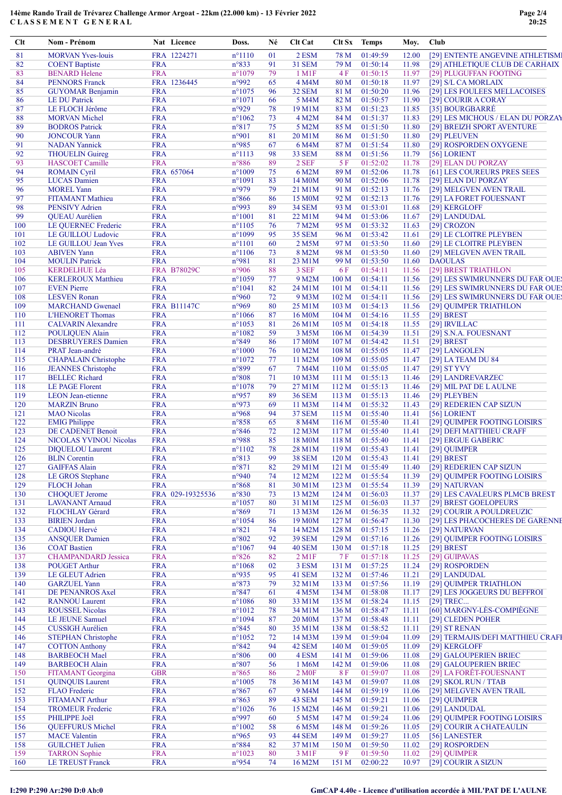## 14ème Rando Trail de Trévarez Challenge Armor Argoat - 22km (22.000 km) - 13 Février 2022 C L A S S E M E N T G E N E R A L

| Clt        | Nom - Prénom                                              |                          | Nat Licence        | Doss.                    | Né       | <b>Clt Cat</b>                | Clt Sx                   | <b>Temps</b>         | Moy.           | Club                                   |
|------------|-----------------------------------------------------------|--------------------------|--------------------|--------------------------|----------|-------------------------------|--------------------------|----------------------|----------------|----------------------------------------|
| 81         | <b>MORVAN Yves-louis</b>                                  |                          | FRA 1224271        | $n^{\circ}1110$          | 01       | 2 ESM                         | 78 M                     | 01:49:59             | 12.00          | [29] ENTENTE ANGEVINE ATHLETISMI       |
| 82         | <b>COENT</b> Baptiste                                     | <b>FRA</b>               |                    | n°833                    | 91       | <b>31 SEM</b>                 | 79 M                     | 01:50:14             | 11.98          | [29] ATHLETIQUE CLUB DE CARHAIX        |
| 83         | <b>BENARD Helene</b>                                      | <b>FRA</b>               |                    | $n^{\circ}1079$          | 79       | 1 M1F                         | 4F                       | 01:50:15             | 11.97          | [29] PLUGUFFAN FOOTING                 |
| 84         | <b>PENNORS Franck</b>                                     |                          | FRA 1236445        | n°992                    | 65       | 4 M4M                         | 80 M                     | 01:50:18             | 11.97          | [29] S/L CA MORLAIX                    |
| 85         | <b>GUYOMAR Benjamin</b>                                   | <b>FRA</b>               |                    | $n^{\circ}1075$          | 96       | <b>32 SEM</b>                 | 81 M                     | 01:50:20             | 11.96          | [29] LES FOULEES MELLACOISES           |
| 86         | <b>LE DU Patrick</b>                                      | <b>FRA</b>               |                    | $n^{\circ}1071$          | 66       | 5 M4M                         | 82 M                     | 01:50:57             | 11.90          | [29] COURIR A CORAY                    |
| 87         | LE FLOCH Jérôme                                           | <b>FRA</b>               |                    | n°929                    | 78       | 19 M1M                        | 83 M                     | 01:51:23             | 11.85          | [35] BOURGBARRÉ                        |
| 88         | <b>MORVAN Michel</b>                                      | <b>FRA</b>               |                    | $n^{\circ}1062$          | 73       | 4 M2M                         | 84 M                     | 01:51:37             | 11.83          | [29] LES MICHOUS / ELAN DU PORZAY      |
| 89         | <b>BODROS Patrick</b>                                     | <b>FRA</b>               |                    | $n^{\circ}817$           | 75       | 5 M2M                         | 85 M                     | 01:51:50             | 11.80          | [29] BREIZH SPORT AVENTURE             |
| 90<br>91   | <b>JONCOUR Yann</b><br><b>NADAN</b> Yannick               | <b>FRA</b><br><b>FRA</b> |                    | n°901<br>n°985           | 81<br>67 | 20 M1M                        | 86 M<br>87 M             | 01:51:50<br>01:51:54 | 11.80<br>11.80 | [29] PLEUVEN<br>[29] ROSPORDEN OXYGENE |
| 92         | <b>THOUELIN</b> Guireg                                    | <b>FRA</b>               |                    | $n^{\circ}1113$          | 98       | 6 M4M<br>33 SEM               | 88 M                     | 01:51:56             | 11.79          | [56] LORIENT                           |
| 93         | <b>HASCOET</b> Camille                                    | <b>FRA</b>               |                    | n°886                    | 89       | 2 SEF                         | 5 F                      | 01:52:02             | 11.78          | [29] ELAN DU PORZAY                    |
| 94         | <b>ROMAIN Cyril</b>                                       |                          | FRA 657064         | $n^{\circ}1009$          | 75       | 6 M2M                         | 89 M                     | 01:52:06             | 11.78          | [61] LES COUREURS PRES SEES            |
| 95         | <b>LUCAS</b> Damien                                       | <b>FRA</b>               |                    | $n^{\circ}1091$          | 83       | 14 M0M                        | 90 M                     | 01:52:06             | 11.78          | [29] ELAN DU PORZAY                    |
| 96         | <b>MOREL Yann</b>                                         | <b>FRA</b>               |                    | n°979                    | 79       | 21 M1M                        | 91 M                     | 01:52:13             | 11.76          | [29] MELGVEN AVEN TRAIL                |
| 97         | <b>FITAMANT Mathieu</b>                                   | <b>FRA</b>               |                    | $n^{\circ}866$           | 86       | 15 M <sub>0</sub> M           | 92 M                     | 01:52:13             | 11.76          | [29] LA FORET FOUESNANT                |
| 98         | <b>PENSIVY Adrien</b>                                     | <b>FRA</b>               |                    | n°993                    | 89       | <b>34 SEM</b>                 | 93 M                     | 01:53:01             | 11.68          | [29] KERGLOFF                          |
| 99         | <b>QUEAU</b> Aurélien                                     | <b>FRA</b>               |                    | $n^{\circ}1001$          | 81       | 22 M1M                        | 94 M                     | 01:53:06             | 11.67          | [29] LANDUDAL                          |
| 100        | LE QUERNEC Frederic                                       | <b>FRA</b>               |                    | $n^{\circ}1105$          | 76       | 7 M2M                         | 95 M                     | 01:53:32             | 11.63          | [29] $CROZON$                          |
| 101        | LE GUILLOU Ludovic                                        | <b>FRA</b>               |                    | n°1099                   | 95       | <b>35 SEM</b>                 | 96 M                     | 01:53:42             | 11.61          | [29] LE CLOITRE PLEYBEN                |
| 102        | LE GUILLOU Jean Yves                                      | <b>FRA</b>               |                    | $n^{\circ}1101$          | 60       | 2 M5M                         | 97 M                     | 01:53:50             | 11.60          | [29] LE CLOITRE PLEYBEN                |
| 103        | <b>ABIVEN Yann</b>                                        | <b>FRA</b>               |                    | $n^{\circ}1106$          | 73       | 8 M2M                         | 98 M                     | 01:53:50             | 11.60          | [29] MELGVEN AVEN TRAIL                |
| 104        | <b>MOULIN</b> Patrick                                     | <b>FRA</b>               |                    | n°981                    | 81       | 23 M1M                        | 99 M                     | 01:53:50             | 11.60          | <b>DAOULAS</b>                         |
| 105        | <b>KERDELHUE Léa</b>                                      |                          | <b>FRA B78029C</b> | n°906                    | 88       | 3 SEF                         | 6 F                      | 01:54:11             | 11.56          | [29] BREST TRIATHLON                   |
| 106        | <b>KERLEROUX Matthieu</b>                                 | <b>FRA</b>               |                    | $n^{\circ}1059$          | 77       | 9 M2M                         | 100 M                    | 01:54:11             | 11.56          | [29] LES SWIMRUNNERS DU FAR OUE        |
| 107        | <b>EVEN</b> Pierre                                        | <b>FRA</b>               |                    | $n^{\circ}1041$          | 82       | 24 M1M                        | 101 M                    | 01:54:11             | 11.56          | [29] LES SWIMRUNNERS DU FAR OUE        |
| 108        | <b>LESVEN Ronan</b>                                       | <b>FRA</b>               |                    | n°960                    | 72       | 9 M3M                         | 102 <sub>M</sub>         | 01:54:11             | 11.56          | [29] LES SWIMRUNNERS DU FAR OUE        |
| 109        | <b>MARCHAND</b> Gwenael                                   |                          | <b>FRA B11147C</b> | n°969                    | 80       | 25 M1M                        | 103 M                    | 01:54:13             | 11.56          | [29] QUIMPER TRIATHLON                 |
| 110        | <b>L'HENORET Thomas</b>                                   | <b>FRA</b>               |                    | $n^{\circ}1066$          | 87       | 16 M0M                        | 104 <sub>M</sub>         | 01:54:16             | 11.55          | $[29]$ BREST                           |
| 111        | <b>CALVARIN Alexandre</b>                                 | <b>FRA</b>               |                    | $n^{\circ}1053$          | 81       | 26 M1M                        | 105 M                    | 01:54:18             | 11.55          | [29] IRVILLAC                          |
| 112        | POULIQUEN Alain                                           | <b>FRA</b>               |                    | $n^{\circ}1082$          | 59       | 3 M5M                         | 106 <sub>M</sub>         | 01:54:39             | 11.51          | [29] S.N.A. FOUESNANT                  |
| 113        | <b>DESBRUYERES Damien</b>                                 | <b>FRA</b>               |                    | n°849                    | 86       | 17 M0M                        | 107 M                    | 01:54:42             | 11.51          | $[29]$ BREST                           |
| 114        | PRAT Jean-andré                                           | <b>FRA</b>               |                    | $n^{\circ}1000$          | 76       | 10 M2M                        | 108 M                    | 01:55:05             | 11.47          | [29] LANGOLEN                          |
| 115        | <b>CHAPALAIN Christophe</b>                               | <b>FRA</b>               |                    | $n^{\circ}1072$          | 77       | 11 M2M                        | 109 M                    | 01:55:05             | 11.47          | [29] LA TEAM DU 84                     |
| 116        | <b>JEANNES</b> Christophe                                 | <b>FRA</b>               |                    | n°899                    | 67       | 7 M4M                         | 110 <sub>M</sub>         | 01:55:05             | 11.47          | [29] ST YVY                            |
| 117        | <b>BELLEC</b> Richard                                     | <b>FRA</b>               |                    | $n^{\circ}808$           | 71       | 10 M3M                        | 111 M                    | 01:55:13             | 11.46          | [29] LANDREVARZEC                      |
| 118        | <b>LE PAGE Florent</b>                                    | <b>FRA</b>               |                    | $n^{\circ}1078$          | 79       | 27 M1M                        | 112M                     | 01:55:13             | 11.46          | [29] MIL PAT DE L AULNE                |
| 119        | <b>LEON</b> Jean-etienne                                  | <b>FRA</b>               |                    | n°957                    | 89       | <b>36 SEM</b>                 | 113 M                    | 01:55:13             | 11.46          | [29] PLEYBEN                           |
| 120        | <b>MARZIN Bruno</b>                                       | <b>FRA</b>               |                    | n°973                    | 69       | 11 M3M                        | 114M                     | 01:55:32             | 11.43          | [29] REDERIEN CAP SIZUN                |
| 121        | <b>MAO</b> Nicolas                                        | <b>FRA</b>               |                    | n°968                    | 94       | <b>37 SEM</b>                 | 115 M                    | 01:55:40             | 11.41          | [56] LORIENT                           |
| 122        | <b>EMIG Philippe</b>                                      | <b>FRA</b><br><b>FRA</b> |                    | n°858                    | 65       | 8 M4M                         | 116M                     | 01:55:40             | 11.41          | [29] QUIMPER FOOTING LOISIRS           |
| 123<br>124 | <b>DE CADENET Benoit</b><br><b>NICOLAS YVINOU Nicolas</b> | <b>FRA</b>               |                    | $n^{\circ}846$<br>n°988  | 72<br>85 | 12 M3M<br>18 M <sub>0</sub> M | 117 <sub>M</sub><br>118M | 01:55:40<br>01:55:40 | 11.41<br>11.41 | [29] DEFI MATTHIEU CRAFF               |
| 125        |                                                           | <b>FRA</b>               |                    |                          | 78       | 28 M1M                        | 119 M                    | 01:55:43             | 11.41          | [29] ERGUE GABERIC<br>[29] QUIMPER     |
| 126        | <b>DIQUELOU</b> Laurent<br><b>BLIN</b> Corentin           | <b>FRA</b>               |                    | $n^{\circ}1102$<br>n°813 | 99       | <b>38 SEM</b>                 | 120 <sub>M</sub>         | 01:55:43             | 11.41          | $[29]$ BREST                           |
| 127        | <b>GAIFFAS Alain</b>                                      | <b>FRA</b>               |                    | $n^{\circ}871$           | 82       | 29 M1M                        | 121 M                    | 01:55:49             | 11.40          | [29] REDERIEN CAP SIZUN                |
| 128        | LE GROS Stephane                                          | <b>FRA</b>               |                    | n°940                    | 74       | 12 M2M                        | 122 M                    | 01:55:54             | 11.39          | [29] QUIMPER FOOTING LOISIRS           |
| 129        | FLOCH Johan                                               | <b>FRA</b>               |                    | $n^{\circ}868$           | 81       | 30 M1M                        | 123 M                    | 01:55:54             | 11.39          | [29] NATURVAN                          |
| 130        | <b>CHOQUET Jerome</b>                                     |                          | FRA 029-19325536   | n°830                    | 73       | 13 M2M                        | 124M                     | 01:56:03             | 11.37          | [29] LES CAVALEURS PLMCB BREST         |
| 131        | <b>LAVANANT</b> Arnaud                                    | <b>FRA</b>               |                    | $n^{\circ}1057$          | 80       | 31 M1M                        | 125 M                    | 01:56:03             | 11.37          | [29] BREST GOELOPEURS                  |
| 132        | FLOCHLAY Gérard                                           | <b>FRA</b>               |                    | $n^{\circ}869$           | 71       | 13 M3M                        | 126 M                    | 01:56:35             | 11.32          | [29] COURIR A POULDREUZIC              |
| 133        | <b>BIRIEN Jordan</b>                                      | <b>FRA</b>               |                    | $n^{\circ}1054$          | 86       | 19 M0M                        | 127 M                    | 01:56:47             | 11.30          | [29] LES PHACOCHERES DE GARENNE        |
| 134        | <b>CADIOU Hervé</b>                                       | <b>FRA</b>               |                    | n°821                    | 74       | 14 M2M                        | 128 M                    | 01:57:15             | 11.26          | [29] NATURVAN                          |
| 135        | <b>ANSQUER Damien</b>                                     | <b>FRA</b>               |                    | $n^{\circ}802$           | 92       | <b>39 SEM</b>                 | 129 M                    | 01:57:16             | 11.26          | [29] OUIMPER FOOTING LOISIRS           |
| 136        | <b>COAT Bastien</b>                                       | <b>FRA</b>               |                    | $n^{\circ}1067$          | 94       | <b>40 SEM</b>                 | 130 M                    | 01:57:18             | 11.25          | $[29]$ BREST                           |
| 137        | <b>CHAMPANDARD Jessica</b>                                | <b>FRA</b>               |                    | $n^{\circ}826$           | 82       | $2$ M <sub>1</sub> $F$        | 7 F                      | 01:57:18             | 11.25          | [29] GUIPAVAS                          |
| 138        | <b>POUGET Arthur</b>                                      | <b>FRA</b>               |                    | $n^{\circ}1068$          | 02       | 3 ESM                         | 131 M                    | 01:57:25             | 11.24          | [29] ROSPORDEN                         |
| 139        | LE GLEUT Adrien                                           | <b>FRA</b>               |                    | n°935                    | 95       | 41 SEM                        | 132 M                    | 01:57:46             | 11.21          | [29] LANDUDAL                          |
| 140        | <b>GARZUEL Yann</b>                                       | <b>FRA</b>               |                    | $n^{\circ}873$           | 79       | 32 M1M                        | 133 M                    | 01:57:56             | 11.19          | [29] QUIMPER TRIATHLON                 |
| 141        | DE PENANROS Axel                                          | <b>FRA</b>               |                    | n°847                    | 61       | 4 M5M                         | 134 M                    | 01:58:08             | 11.17          | [29] LES JOGGEURS DU BEFFROI           |
| 142        | <b>RANNOU Laurent</b>                                     | <b>FRA</b>               |                    | $n^{\circ}1086$          | 80       | 33 M1M                        | 135 M                    | 01:58:24             | 11.15          | [29] TREC                              |
| 143        | <b>ROUSSEL Nicolas</b>                                    | <b>FRA</b>               |                    | $n^{\circ}1012$          | 78       | 34 M1M                        | 136 M                    | 01:58:47             | 11.11          | [60] MARGNY-LÈS-COMPIÈGNE              |
| 144        | LE JEUNE Samuel                                           | <b>FRA</b>               |                    | $n^{\circ}1094$          | 87       | <b>20 M0M</b>                 | 137 M                    | 01:58:48             | 11.11          | [29] CLEDEN POHER                      |
| 145        | <b>CUSSIGH Aurélien</b>                                   | <b>FRA</b>               |                    | $n^{\circ}845$           | 80       | 35 M1M                        | 138 M                    | 01:58:52             | 11.11          | [29] ST RENAN                          |
| 146        | <b>STEPHAN Christophe</b>                                 | <b>FRA</b>               |                    | $n^{\circ}1052$          | 72       | 14 M3M                        | 139 M                    | 01:59:04             | 11.09          | [29] TERMAJIS/DEFI MATTHIEU CRAFI      |
| 147        | <b>COTTON Anthony</b>                                     | <b>FRA</b>               |                    | n°842                    | 94       | 42 SEM                        | 140 <sub>M</sub>         | 01:59:05             | 11.09          | [29] KERGLOFF                          |
| 148        | <b>BARBEOCH Mael</b>                                      | <b>FRA</b>               |                    | $n^{\circ}806$           | 00       | 4 ESM                         | 141 M                    | 01:59:06             | 11.08          | [29] GALOUPERIEN BRIEC                 |
| 149        | <b>BARBEOCH Alain</b>                                     | <b>FRA</b>               |                    | $n^{\circ}807$           | 56       | 1 M6M                         | 142 M                    | 01:59:06             | 11.08          | [29] GALOUPERIEN BRIEC                 |
| 150        | <b>FITAMANT</b> Georgina                                  | <b>GBR</b>               |                    | $n^{\circ}865$           | 86       | 2 M <sub>OF</sub>             | <b>8F</b>                | 01:59:07             | 11.08          | [29] LA FORÊT-FOUESNANT                |
| 151        | <b>QUINQUIS Laurent</b>                                   | <b>FRA</b>               |                    | $n^{\circ}1005$          | 78       | 36 M1M                        | 143 M                    | 01:59:07             | 11.08          | [29] SKOL RUN / TTAB                   |
| 152        | FLAO Frederic                                             | <b>FRA</b>               |                    | $n^{\circ}867$           | 67       | 9 M4M                         | 144 M                    | 01:59:19             | 11.06          | [29] MELGVEN AVEN TRAIL                |
| 153        | <b>FITAMANT Arthur</b>                                    | <b>FRA</b>               |                    | $n^{\circ}863$           | 89       | 43 SEM                        | 145 M                    | 01:59:21             | 11.06          | [29] QUIMPER                           |
| 154        | <b>TROMEUR Frederic</b>                                   | <b>FRA</b>               |                    | $n^{\circ}1026$          | 76       | 15 M2M                        | 146 M                    | 01:59:21             | 11.06          | [29] LANDUDAL                          |
| 155        | PHILIPPE Joël                                             | <b>FRA</b>               |                    | n°997                    | 60       | 5 M5M                         | 147 M                    | 01:59:24             | 11.06          | [29] QUIMPER FOOTING LOISIRS           |
| 156        | <b>QUEFFURUS Michel</b>                                   | <b>FRA</b>               |                    | $n^{\circ}1002$          | 58       | 6 M5M                         | 148 M                    | 01:59:26             | 11.05          | [29] COURIR A CHATEAULIN               |
| 157        | <b>MACE</b> Valentin                                      | <b>FRA</b>               |                    | n°965                    | 93       | 44 SEM                        | 149 M                    | 01:59:27             | 11.05          | [56] LANESTER                          |
| 158        | <b>GUILCHET Julien</b>                                    | <b>FRA</b>               |                    | n°884                    | 82       | 37 M1M                        | 150 M                    | 01:59:50             | 11.02          | [29] ROSPORDEN                         |
| 159        | <b>TARRON</b> Sophie                                      | <b>FRA</b>               |                    | $n^{\circ}1023$          | 80       | 3 M1F                         | 9 F                      | 01:59:50             | 11.02          | [29] QUIMPER                           |
| 160        | <b>LE TREUST Franck</b>                                   | <b>FRA</b>               |                    | n°954                    | 74       | 16 M2M                        | 151 M                    | 02:00:22             | 10.97          | [29] COURIR A SIZUN                    |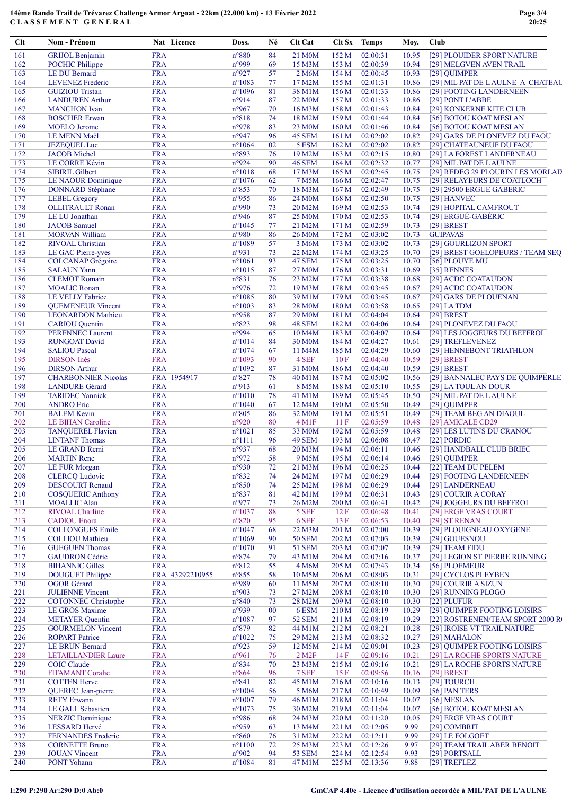## 14ème Rando Trail de Trévarez Challenge Armor Argoat - 22km (22.000 km) - 13 Février 2022 CLASSEMENT GENERAL

| Clt | Nom - Prénom               | Nat Licence     | Doss.           | Né     | <b>Clt Cat</b>         |                  | Clt Sx Temps | Moy.  | Club                              |
|-----|----------------------------|-----------------|-----------------|--------|------------------------|------------------|--------------|-------|-----------------------------------|
| 161 | <b>GRIJOL Benjamin</b>     | <b>FRA</b>      | $n^{\circ}880$  | 84     | 21 M <sub>0</sub> M    | 152 M            | 02:00:31     | 10.95 | [29] PLOUIDER SPORT NATURE        |
| 162 | <b>POCHIC Philippe</b>     | <b>FRA</b>      | n°999           | 69     | 15 M3M                 | 153 M            | 02:00:39     | 10.94 | [29] MELGVEN AVEN TRAIL           |
| 163 | <b>LE DU Bernard</b>       | <b>FRA</b>      | n°927           | 57     | 2 M6M                  | 154 M            | 02:00:45     | 10.93 | [29] OUIMPER                      |
| 164 | <b>LEVENEZ Frederic</b>    | <b>FRA</b>      | $n^{\circ}1083$ | 77     | 17 M2M                 | 155 M            | 02:01:31     | 10.86 | [29] MIL PAT DE L AULNE A CHATEAU |
| 165 | <b>GUIZIOU Tristan</b>     | <b>FRA</b>      | $n^{\circ}1096$ | 81     | 38 M1M                 | 156 M            | 02:01:33     | 10.86 | [29] FOOTING LANDERNEEN           |
| 166 | <b>LANDUREN</b> Arthur     | <b>FRA</b>      | n°914           | 87     | 22 M <sub>0</sub> M    | 157 M            | 02:01:33     | 10.86 | [29] PONT L'ABBE                  |
| 167 | <b>MANCHON</b> Ivan        | <b>FRA</b>      | n°967           | 70     | $16$ M $3$ M           | 158 M            | 02:01:43     | 10.84 | [29] KONKERNE KITE CLUB           |
| 168 | <b>BOSCHER Erwan</b>       | <b>FRA</b>      | $n^{\circ}818$  | 74     | 18 M2M                 | 159 M            | 02:01:44     | 10.84 | [56] BOTOU KOAT MESLAN            |
| 169 | <b>MOELO</b> Jerome        | <b>FRA</b>      | n°978           | 83     | 23 M0M                 | 160 <sub>M</sub> | 02:01:46     | 10.84 | [56] BOTOU KOAT MESLAN            |
| 170 | LE MENN Maël               | <b>FRA</b>      | n°947           | 96     | 45 SEM                 | 161 M            | 02:02:02     | 10.82 | [29] GARS DE PLONEVEZ DU FAOU     |
| 171 | <b>JEZEQUEL Luc</b>        | <b>FRA</b>      | $n^{\circ}1064$ | 02     | 5 ESM                  | 162 M            | 02:02:02     | 10.82 | [29] CHATEAUNEUF DU FAOU          |
| 172 | <b>JACOB</b> Michel        | <b>FRA</b>      | n°893           | 76     | 19 M2M                 | 163 M            | 02:02:15     | 10.80 | [29] LA FOREST LANDERNEAU         |
| 173 | LE CORRE Kévin             | <b>FRA</b>      | n°924           | 90     | <b>46 SEM</b>          | 164M             | 02:02:32     | 10.77 | [29] MIL PAT DE L AULNE           |
|     | <b>SIBIRIL Gilbert</b>     | <b>FRA</b>      | $n^{\circ}1018$ | 68     | 17 M3M                 |                  | 02:02:45     | 10.75 |                                   |
| 174 |                            |                 |                 |        |                        | 165 <sub>M</sub> |              |       | [29] REDEG 29 PLOURIN LES MORLAD  |
| 175 | LE NAOUR Dominique         | <b>FRA</b>      | $n^{\circ}1076$ | 62     | 7 M5M                  | 166 M            | 02:02:47     | 10.75 | [29] RELAYEURS DE COATLOCH        |
| 176 | <b>DONNARD</b> Stéphane    | <b>FRA</b>      | $n^{\circ}853$  | 70     | 18 M3M                 | 167 <sub>M</sub> | 02:02:49     | 10.75 | [29] 29500 ERGUE GABERIC          |
| 177 | <b>LEBEL Gregory</b>       | <b>FRA</b>      | n°955           | 86     | 24 M0M                 | 168 M            | 02:02:50     | 10.75 | [29] HANVEC                       |
| 178 | <b>OLLITRAULT Ronan</b>    | <b>FRA</b>      | n°990           | 73     | 20 M2M                 | 169 M            | 02:02:53     | 10.74 | [29] HOPITAL CAMFROUT             |
| 179 | LE LU Jonathan             | <b>FRA</b>      | n°946           | 87     | 25 M0M                 | 170 M            | 02:02:53     | 10.74 | [29] ERGUÉ-GABÉRIC                |
| 180 | <b>JACOB</b> Samuel        | <b>FRA</b>      | $n^{\circ}1045$ | 77     | 21 M2M                 | 171 M            | 02:02:59     | 10.73 | [29] BREST                        |
| 181 | <b>MORVAN William</b>      | <b>FRA</b>      | n°980           | 86     | 26 M0M                 | 172 M            | 02:03:02     | 10.73 | <b>GUIPAVAS</b>                   |
| 182 | <b>RIVOAL Christian</b>    | <b>FRA</b>      | $n^{\circ}1089$ | 57     | 3 M6M                  | 173 M            | 02:03:02     | 10.73 | [29] GOURLIZON SPORT              |
| 183 | LE GAC Pierre-yves         | <b>FRA</b>      | n°931           | 73     | 22 M2M                 | 174 M            | 02:03:25     | 10.70 | [29] BREST GOELOPEURS / TEAM SEQ  |
| 184 | <b>COLCANAP</b> Grégoire   | <b>FRA</b>      | $n^{\circ}1061$ | 93     | <b>47 SEM</b>          | 175 M            | 02:03:25     | 10.70 | [56] PLOUYE MU                    |
| 185 | <b>SALAUN Yann</b>         | <b>FRA</b>      | $n^{\circ}1015$ | 87     | 27 M0M                 | 176 M            | 02:03:31     | 10.69 | [35] RENNES                       |
| 186 | <b>CLEMOT</b> Romain       | <b>FRA</b>      | $n^{\circ}831$  | 76     | 23 M2M                 | 177 M            | 02:03:38     | 10.68 | [29] ACDC COATAUDON               |
| 187 | <b>MOALIC Ronan</b>        | <b>FRA</b>      | n°976           | 72     | 19 M3M                 | 178 M            | 02:03:45     | 10.67 | [29] ACDC COATAUDON               |
| 188 | LE VELLY Fabrice           | <b>FRA</b>      | $n^{\circ}1085$ | 80     | 39 M1M                 | 179 M            | 02:03:45     | 10.67 | [29] GARS DE PLOUENAN             |
| 189 | <b>QUEMENEUR Vincent</b>   | <b>FRA</b>      | $n^{\circ}1003$ | 83     | <b>28 M0M</b>          | 180 M            | 02:03:58     | 10.65 | $[29]$ LA TDM                     |
| 190 | <b>LEONARDON Mathieu</b>   | <b>FRA</b>      | n°958           | 87     | 29 M0M                 | 181 M            | 02:04:04     | 10.64 | $[29]$ BREST                      |
| 191 | <b>CARIOU</b> Quentin      | <b>FRA</b>      | $n^{\circ}823$  | 98     | 48 SEM                 | 182 M            | 02:04:06     | 10.64 | [29] PLONÉVEZ DU FAOU             |
| 192 | <b>PERENNEC</b> Laurent    | <b>FRA</b>      | n°994           | 65     | 10 M4M                 | 183 M            | 02:04:07     | 10.64 | [29] LES JOGGEURS DU BEFFROI      |
| 193 | <b>RUNGOAT David</b>       | <b>FRA</b>      | $n^{\circ}1014$ | 84     | 30 M <sub>0</sub> M    | 184 M            | 02:04:27     | 10.61 | [29] TREFLEVENEZ                  |
| 194 | <b>SALIOU Pascal</b>       | <b>FRA</b>      | $n^{\circ}1074$ | 67     | 11 M4M                 | 185 M            | 02:04:29     | 10.60 | [29] HENNEBONT TRIATHLON          |
| 195 | <b>DIRSON</b> Inès         | <b>FRA</b>      | $n^{\circ}1093$ | 90     | 4 SEF                  | 10F              | 02:04:40     | 10.59 | [29] BREST                        |
| 196 | <b>DIRSON</b> Arthur       | <b>FRA</b>      | $n^{\circ}1092$ | 87     | 31 M0M                 | 186 M            | 02:04:40     | 10.59 | [29] BREST                        |
| 197 | <b>CHARBONNIER Nicolas</b> | FRA 1954917     | $n^{\circ}827$  | 78     | 40 M1M                 | 187 M            | 02:05:02     | 10.56 | [29] BANNALEC PAYS DE QUIMPERLE   |
| 198 | <b>LANDURE</b> Gérard      | <b>FRA</b>      | n°913           | 61     | 8 M5M                  | 188 M            | 02:05:10     | 10.55 | [29] LA TOUL AN DOUR              |
| 199 | <b>TARIDEC Yannick</b>     | <b>FRA</b>      | $n^{\circ}1010$ | 78     | 41 M1M                 | 189 M            | 02:05:45     | 10.50 | [29] MIL PAT DE LAULNE            |
|     | <b>ANDRO Eric</b>          | <b>FRA</b>      |                 | 67     |                        | 190 M            | 02:05:50     |       |                                   |
| 200 |                            |                 | $n^{\circ}1040$ |        | 12 M4M                 |                  |              | 10.49 | [29] QUIMPER                      |
| 201 | <b>BALEM Kevin</b>         | <b>FRA</b>      | $n^{\circ}805$  | 86     | 32 M0M                 | 191 M            | 02:05:51     | 10.49 | [29] TEAM BEG AN DIAOUL           |
| 202 | <b>LE BIHAN Caroline</b>   | <b>FRA</b>      | n°920           | 80     | $4 \,\mathrm{M1F}$     | 11F              | 02:05:59     | 10.48 | [29] AMICALE CD29                 |
| 203 | <b>TANQUEREL Flavien</b>   | <b>FRA</b>      | $n^{\circ}1021$ | 85     | 33 M <sub>0</sub> M    | 192 M            | 02:05:59     | 10.48 | [29] LES LUTINS DU CRANOU         |
| 204 | <b>LINTANF Thomas</b>      | <b>FRA</b>      | $n^{\circ}1111$ | 96     | <b>49 SEM</b>          | 193 M            | 02:06:08     | 10.47 | [22] PORDIC                       |
| 205 | LE GRAND Remi              | <b>FRA</b>      | n°937           | 68     | 20 M3M                 | 194 M            | 02:06:11     | 10.46 | [29] HANDBALL CLUB BRIEC          |
| 206 | <b>MARTIN</b> Rene         | <b>FRA</b>      | n°972           | 58     | 9 M <sub>5</sub> M     | 195 M            | 02:06:14     | 10.46 | [29] QUIMPER                      |
| 207 | <b>LE FUR Morgan</b>       | <b>FRA</b>      | n°930           | 72     | 21 M3M                 | 196 M            | 02:06:25     | 10.44 | [22] TEAM DU PELEM                |
| 208 | <b>CLERCQ Ludovic</b>      | <b>FRA</b>      | $n^{\circ}832$  | 74     | 24 M2M                 | 197 M            | 02:06:29     | 10.44 | [29] FOOTING LANDERNEEN           |
| 209 | <b>DESCOURT Renaud</b>     | <b>FRA</b>      | $n^{\circ}850$  | 74     | 25 M2M                 | 198 M            | 02:06:29     | 10.44 | [29] LANDERNEAU                   |
| 210 | <b>COSQUERIC Anthony</b>   | <b>FRA</b>      | $n^{\circ}837$  | 81     | 42 M1M                 | 199 <sub>M</sub> | 02:06:31     | 10.43 | [29] COURIR A CORAY               |
| 211 | <b>MOALLIC Alan</b>        | <b>FRA</b>      | n°977           | 73     | 26 M2M                 | 200 M            | 02:06:41     | 10.42 | [29] JOGGEURS DU BEFFROI          |
| 212 | RIVOAL Charline            | <b>FRA</b>      | $n^{\circ}1037$ | 88     | 5 SEF                  | 12F              | 02:06:48     | 10.41 | [29] ERGE VRAS COURT              |
| 213 | <b>CADIOU</b> Enora        | <b>FRA</b>      | $n^{\circ}820$  | 95     | 6 SEF                  | 13F              | 02:06:53     | 10.40 | [29] ST RENAN                     |
| 214 | <b>COLLONGUES Emile</b>    | <b>FRA</b>      | $n^{\circ}1047$ | 68     | 22 M3M                 | 201 M            | 02:07:00     | 10.39 | [29] PLOUIGNEAU OXYGENE           |
| 215 | <b>COLLIOU</b> Mathieu     | <b>FRA</b>      | $n^{\circ}1069$ | 90     | <b>50 SEM</b>          | 202 M            | 02:07:03     | 10.39 | [29] GOUESNOU                     |
| 216 | <b>GUEGUEN Thomas</b>      | <b>FRA</b>      | $n^{\circ}1070$ | 91     | 51 SEM                 | 203 M            | 02:07:07     | 10.39 | [29] TEAM FIDU                    |
| 217 | <b>GAUDRON Cédric</b>      | <b>FRA</b>      | $n^{\circ}874$  | 79     | 43 M1M                 | 204 M            | 02:07:16     | 10.37 | [29] LEGION ST PIERRE RUNNING     |
| 218 | <b>BIHANNIC Gilles</b>     | <b>FRA</b>      | $n^{\circ}812$  | 55     | 4 M6M                  | 205 M            | 02:07:43     | 10.34 | [56] PLOEMEUR                     |
| 219 | <b>DOUGUET Philippe</b>    | FRA 43292210955 | $n^{\circ}855$  |        | 10 M5M                 | 206 M            |              | 10.31 | [29] CYCLOS PLEYBEN               |
|     |                            |                 |                 | 58     |                        |                  | 02:08:03     |       |                                   |
| 220 | <b>OGOR</b> Gérard         | <b>FRA</b>      | n°989           | 60     | 11 M5M                 | 207 M            | 02:08:10     | 10.30 | [29] COURIR A SIZUN               |
| 221 | <b>JULIENNE Vincent</b>    | <b>FRA</b>      | n°903           | 73     | 27 M2M                 | 208 M            | 02:08:10     | 10.30 | [29] RUNNING PLOGO                |
| 222 | <b>COTONNEC Christophe</b> | <b>FRA</b>      | $n^{\circ}840$  | 73     | 28 M2M                 | 209 M            | 02:08:10     | 10.30 | [22] PLUFUR                       |
| 223 | LE GROS Maxime             | <b>FRA</b>      | n°939           | $00\,$ | 6 ESM                  | 210 M            | 02:08:19     | 10.29 | [29] QUIMPER FOOTING LOISIRS      |
| 224 | <b>METAYER Quentin</b>     | <b>FRA</b>      | $n^{\circ}1087$ | 97     | <b>52 SEM</b>          | 211 M            | 02:08:19     | 10.29 | [22] ROSTRENEN/TEAM SPORT 2000 R  |
| 225 | <b>GOURMELON Vincent</b>   | <b>FRA</b>      | $n^{\circ}879$  | 82     | 44 M1M                 | 212 M            | 02:08:21     | 10.28 | [29] IROISE VT TRAIL NATURE       |
| 226 | <b>ROPART Patrice</b>      | <b>FRA</b>      | $n^{\circ}1022$ | 75     | 29 M2M                 | 213 M            | 02:08:32     | 10.27 | [29] MAHALON                      |
| 227 | <b>LE BRUN Bernard</b>     | <b>FRA</b>      | n°923           | 59     | 12 M5M                 | 214 M            | 02:09:01     | 10.23 | [29] QUIMPER FOOTING LOISIRS      |
| 228 | LETAILLANDIER Laure        | <b>FRA</b>      | n°961           | 76     | $2$ M <sub>2</sub> $F$ | 14F              | 02:09:16     | 10.21 | [29] LA ROCHE SPORTS NATURE       |
| 229 | <b>COIC Claude</b>         | <b>FRA</b>      | n°834           | 70     | 23 M3M                 | 215 M            | 02:09:16     | 10.21 | [29] LA ROCHE SPORTS NATURE       |
| 230 | <b>FITAMANT Coralie</b>    | <b>FRA</b>      | $n^{\circ}864$  | 96     | 7 SEF                  | 15F              | 02:09:56     | 10.16 | $[29]$ BREST                      |
| 231 | <b>COTTEN Herve</b>        | <b>FRA</b>      | $n^{\circ}841$  | 82     | 45 M1M                 | 216 M            | 02:10:16     | 10.13 | [29] TOURCH                       |
| 232 | <b>QUEREC</b> Jean-pierre  | <b>FRA</b>      | $n^{\circ}1004$ | 56     | 5 M6M                  | 217 M            | 02:10:49     | 10.09 | [56] PAN TERS                     |
| 233 | <b>RETY Erwann</b>         | <b>FRA</b>      | $n^{\circ}1007$ | 79     | 46 M1M                 | 218 M            | 02:11:04     | 10.07 | [56] MESLAN                       |
| 234 | LE GALL Sébastien          | <b>FRA</b>      | $n^{\circ}1073$ | 75     | 30 M2M                 | 219 M            | 02:11:04     | 10.07 | [56] BOTOU KOAT MESLAN            |
| 235 | <b>NERZIC</b> Dominique    | <b>FRA</b>      | n°986           | 68     | 24 M3M                 | 220 M            | 02:11:20     | 10.05 | [29] ERGE VRAS COURT              |
| 236 | <b>LESSARD Hervé</b>       | <b>FRA</b>      | n°959           | 63     | 13 M4M                 | 221 M            | 02:12:05     | 9.99  | [29] COMBRIT                      |
| 237 | <b>FERNANDES</b> Frederic  | <b>FRA</b>      | $n^{\circ}860$  | 76     | 31 M2M                 | 222 M            | 02:12:11     | 9.99  | [29] LE FOLGOET                   |
| 238 | <b>CORNETTE Bruno</b>      | <b>FRA</b>      | $n^{\circ}1100$ |        | 25 M3M                 | 223 M            | 02:12:26     |       |                                   |
|     |                            |                 |                 | 72     |                        |                  |              | 9.97  | [29] TEAM TRAIL ABER BENOIT       |
| 239 | <b>JOUAN Vincent</b>       | <b>FRA</b>      | n°902           | 94     | <b>53 SEM</b>          | 224 M            | 02:12:54     | 9.93  | [29] PORTSALL                     |
| 240 | <b>PONT</b> Yohann         | <b>FRA</b>      | $n^{\circ}1084$ | 81     | 47 M1M                 | 225 M            | 02:13:36     | 9.88  | [29] TREFLEZ                      |